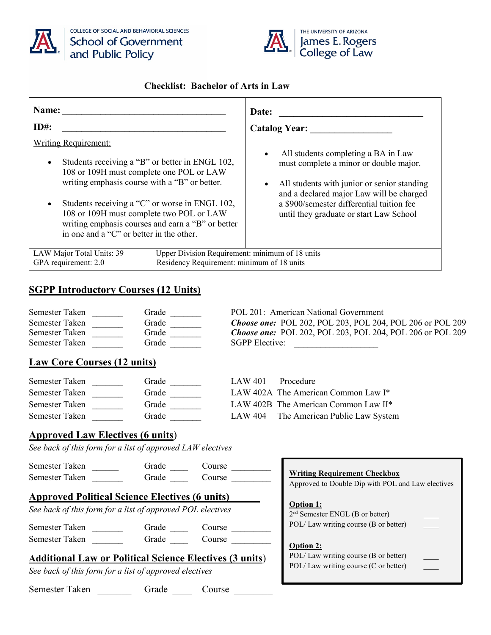



#### **Checklist: Bachelor of Arts in Law**

| Name:                                                                                                                                                                                                                                                                                                                                                                                   | Date:                                                                                                                                                                                                                                                                         |
|-----------------------------------------------------------------------------------------------------------------------------------------------------------------------------------------------------------------------------------------------------------------------------------------------------------------------------------------------------------------------------------------|-------------------------------------------------------------------------------------------------------------------------------------------------------------------------------------------------------------------------------------------------------------------------------|
| $ID#$ :                                                                                                                                                                                                                                                                                                                                                                                 | <b>Catalog Year:</b>                                                                                                                                                                                                                                                          |
| <b>Writing Requirement:</b><br>Students receiving a "B" or better in ENGL 102,<br>$\bullet$<br>108 or 109H must complete one POL or LAW<br>writing emphasis course with a "B" or better.<br>Students receiving a "C" or worse in ENGL 102,<br>108 or 109H must complete two POL or LAW<br>writing emphasis courses and earn a "B" or better<br>in one and a "C" or better in the other. | All students completing a BA in Law<br>$\bullet$<br>must complete a minor or double major.<br>All students with junior or senior standing<br>and a declared major Law will be charged<br>a \$900/semester differential tuition fee<br>until they graduate or start Law School |
| LAW Major Total Units: 39<br>Residency Requirement: minimum of 18 units<br>GPA requirement: 2.0                                                                                                                                                                                                                                                                                         | Upper Division Requirement: minimum of 18 units                                                                                                                                                                                                                               |

### **SGPP Introductory Courses (12 Units)**

| Semester Taken | Grade | POL 201: American National Government                            |
|----------------|-------|------------------------------------------------------------------|
| Semester Taken | Grade | <b>Choose one:</b> POL 202, POL 203, POL 204, POL 206 or POL 209 |
| Semester Taken | Grade | <b>Choose one:</b> POL 202, POL 203, POL 204, POL 206 or POL 209 |
| Semester Taken | Grade | <b>SGPP Elective:</b>                                            |

### **Law Core Courses (12 units)**

| Semester Taken | Grade | LAW 401 | Procedure                              |
|----------------|-------|---------|----------------------------------------|
| Semester Taken | Grade |         | LAW 402A The American Common Law I*    |
| Semester Taken | Grade |         | LAW 402B The American Common Law II*   |
| Semester Taken | Grade |         | LAW 404 The American Public Law System |

#### **Approved Law Electives (6 units**)

*See back of this form for a list of approved LAW electives*

| Semester Taken                                                 | Grade | Course |                                                   |
|----------------------------------------------------------------|-------|--------|---------------------------------------------------|
| Semester Taken                                                 | Grade | Course | <b>Writing Requirement Checkbox</b>               |
|                                                                |       |        | Approved to Double Dip with POL and Law electives |
| <b>Approved Political Science Electives (6 units)</b>          |       |        |                                                   |
|                                                                |       |        | <b>Option 1:</b>                                  |
| See back of this form for a list of approved POL electives     |       |        | $2nd$ Semester ENGL (B or better)                 |
| Semester Taken                                                 | Grade | Course | POL/Law writing course (B or better)              |
| Semester Taken                                                 | Grade | Course |                                                   |
|                                                                |       |        | <b>Option 2:</b>                                  |
| <b>Additional Law or Political Science Electives (3 units)</b> |       |        | POL/Law writing course (B or better)              |
| See back of this form for a list of approved electives         |       |        | POL/Law writing course (C or better)              |
| Semester Taken                                                 | Grade | Course |                                                   |